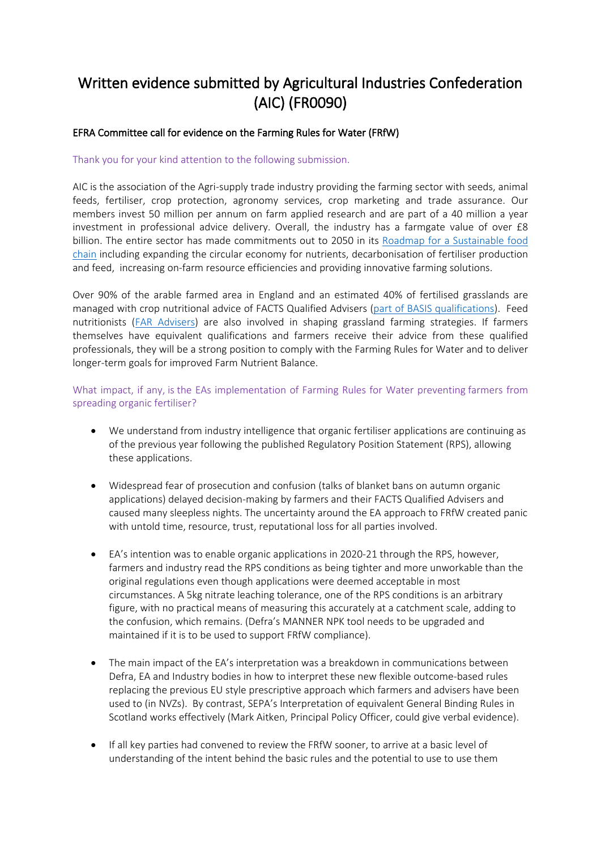# **Written evidence submitted by Agricultural Industries Confederation (AIC) (FR0090)**

## **EFRA Committee call for evidence on the Farming Rules for Water (FRfW)**

Thank you for your kind attention to the following submission.

AIC is the association of the Agri-supply trade industry providing the farming sector with seeds, animal feeds, fertiliser, crop protection, agronomy services, crop marketing and trade assurance. Our members invest 50 million per annum on farm applied research and are part of a 40 million a year investment in professional advice delivery. Overall, the industry has a farmgate value of over £8 billion. The entire sector has made commitments out to 2050 in its [Roadmap](https://www.agindustries.org.uk/issues-and-topics/search-by-campaign/sustainability.html) [for](https://www.agindustries.org.uk/issues-and-topics/search-by-campaign/sustainability.html) [a](https://www.agindustries.org.uk/issues-and-topics/search-by-campaign/sustainability.html) [Sustainable](https://www.agindustries.org.uk/issues-and-topics/search-by-campaign/sustainability.html) [food](https://www.agindustries.org.uk/issues-and-topics/search-by-campaign/sustainability.html) [chain](https://www.agindustries.org.uk/issues-and-topics/search-by-campaign/sustainability.html) including expanding the circular economy for nutrients, decarbonisation of fertiliser production and feed, increasing on-farm resource efficiencies and providing innovative farming solutions.

Over 90% of the arable farmed area in England and an estimated 40% of fertilised grasslands are managed with crop nutritional advice of FACTS Qualified Advisers [\(part](https://www.basis-reg.co.uk/scheme-facts) [of](https://www.basis-reg.co.uk/scheme-facts) [BASIS](https://www.basis-reg.co.uk/scheme-facts) [qualifications\)](https://www.basis-reg.co.uk/scheme-facts). Feed nutritionists ([FAR](https://www.agindustries.org.uk/feed-adviser-register/about-far.html) [Advisers](https://www.agindustries.org.uk/feed-adviser-register/about-far.html)) are also involved in shaping grassland farming strategies. If farmers themselves have equivalent qualifications and farmers receive their advice from these qualified professionals, they will be a strong position to comply with the Farming Rules for Water and to deliver longer-term goals for improved Farm Nutrient Balance.

What impact, if any, is the EAs implementation of Farming Rules for Water preventing farmers from spreading organic fertiliser?

- We understand from industry intelligence that organic fertiliser applications are continuing as of the previous year following the published Regulatory Position Statement (RPS), allowing these applications.
- Widespread fear of prosecution and confusion (talks of blanket bans on autumn organic applications) delayed decision-making by farmers and their FACTS Qualified Advisers and caused many sleepless nights. The uncertainty around the EA approach to FRfW created panic with untold time, resource, trust, reputational loss for all parties involved.
- EA's intention was to enable organic applications in 2020-21 through the RPS, however, farmers and industry read the RPS conditions as being tighter and more unworkable than the original regulations even though applications were deemed acceptable in most circumstances. A 5kg nitrate leaching tolerance, one of the RPS conditions is an arbitrary figure, with no practical means of measuring this accurately at a catchment scale, adding to the confusion, which remains. (Defra's MANNER NPK tool needs to be upgraded and maintained if it is to be used to support FRfW compliance).
- The main impact of the EA's interpretation was a breakdown in communications between Defra, EA and Industry bodies in how to interpret these new flexible outcome-based rules replacing the previous EU style prescriptive approach which farmers and advisers have been used to (in NVZs). By contrast, SEPA's Interpretation of equivalent General Binding Rules in Scotland works effectively (Mark Aitken, Principal Policy Officer, could give verbal evidence).
- If all key parties had convened to review the FRfW sooner, to arrive at a basic level of understanding of the intent behind the basic rules and the potential to use to use them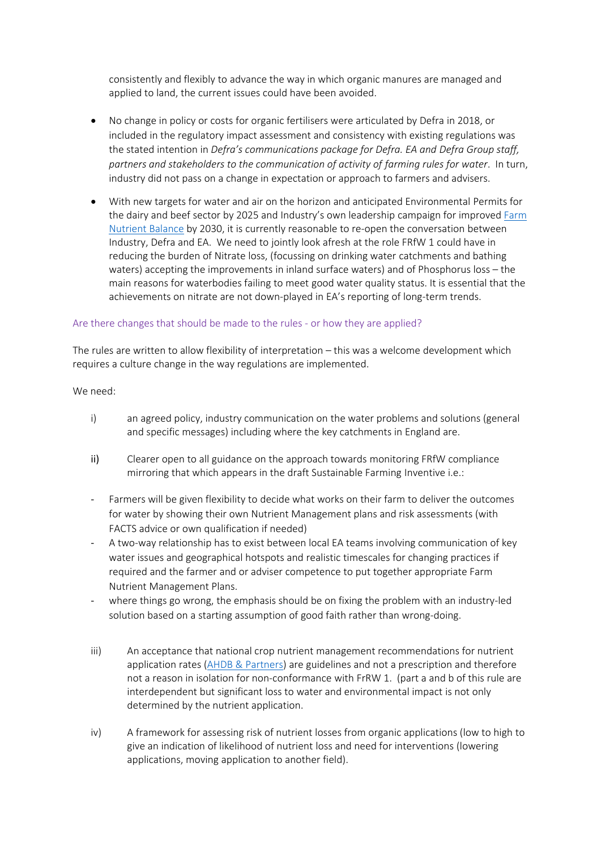consistently and flexibly to advance the way in which organic manures are managed and applied to land, the current issues could have been avoided.

- No change in policy or costs for organic fertilisers were articulated by Defra in 2018, or included in the regulatory impact assessment and consistency with existing regulations was the stated intention in *Defra's communications package for Defra. EA and Defra Group staff, partners and stakeholders to the communication of activity of farming rules for water*. In turn, industry did not pass on a change in expectation or approach to farmers and advisers.
- With new targets for water and air on the horizon and anticipated Environmental Permits for the dairy and beef sector by 2025 and Industry's own leadership campaign for improved [Farm](https://www.nutrientmanagement.org/latest-information/news/aic-calls-on-the-industry-to-jointly-achieve-nutrient-balance/) [Nutrient](https://www.nutrientmanagement.org/latest-information/news/aic-calls-on-the-industry-to-jointly-achieve-nutrient-balance/) [Balance](https://www.nutrientmanagement.org/latest-information/news/aic-calls-on-the-industry-to-jointly-achieve-nutrient-balance/) by 2030, it is currently reasonable to re-open the conversation between Industry, Defra and EA. We need to jointly look afresh at the role FRfW 1 could have in reducing the burden of Nitrate loss, (focussing on drinking water catchments and bathing waters) accepting the improvements in inland surface waters) and of Phosphorus loss – the main reasons for waterbodies failing to meet good water quality status. It is essential that the achievements on nitrate are not down-played in EA's reporting of long-term trends.

#### Are there changes that should be made to the rules - or how they are applied?

The rules are written to allow flexibility of interpretation – this was a welcome development which requires a culture change in the way regulations are implemented.

#### We need:

- i) an agreed policy, industry communication on the water problems and solutions (general and specific messages) including where the key catchments in England are.
- ii) Clearer open to all guidance on the approach towards monitoring FRfW compliance mirroring that which appears in the draft Sustainable Farming Inventive i.e.:
- Farmers will be given flexibility to decide what works on their farm to deliver the outcomes for water by showing their own Nutrient Management plans and risk assessments (with FACTS advice or own qualification if needed)
- A two-way relationship has to exist between local EA teams involving communication of key water issues and geographical hotspots and realistic timescales for changing practices if required and the farmer and or adviser competence to put together appropriate Farm Nutrient Management Plans.
- where things go wrong, the emphasis should be on fixing the problem with an industry-led solution based on a starting assumption of good faith rather than wrong-doing.
- iii) An acceptance that national crop nutrient management recommendations for nutrient application rates [\(AHDB](https://ahdb.org.uk/RB209) [&](https://ahdb.org.uk/RB209) [Partners\)](https://ahdb.org.uk/RB209) are guidelines and not a prescription and therefore not a reason in isolation for non-conformance with FrRW 1. (part a and b of this rule are interdependent but significant loss to water and environmental impact is not only determined by the nutrient application.
- iv) A framework for assessing risk of nutrient losses from organic applications (low to high to give an indication of likelihood of nutrient loss and need for interventions (lowering applications, moving application to another field).